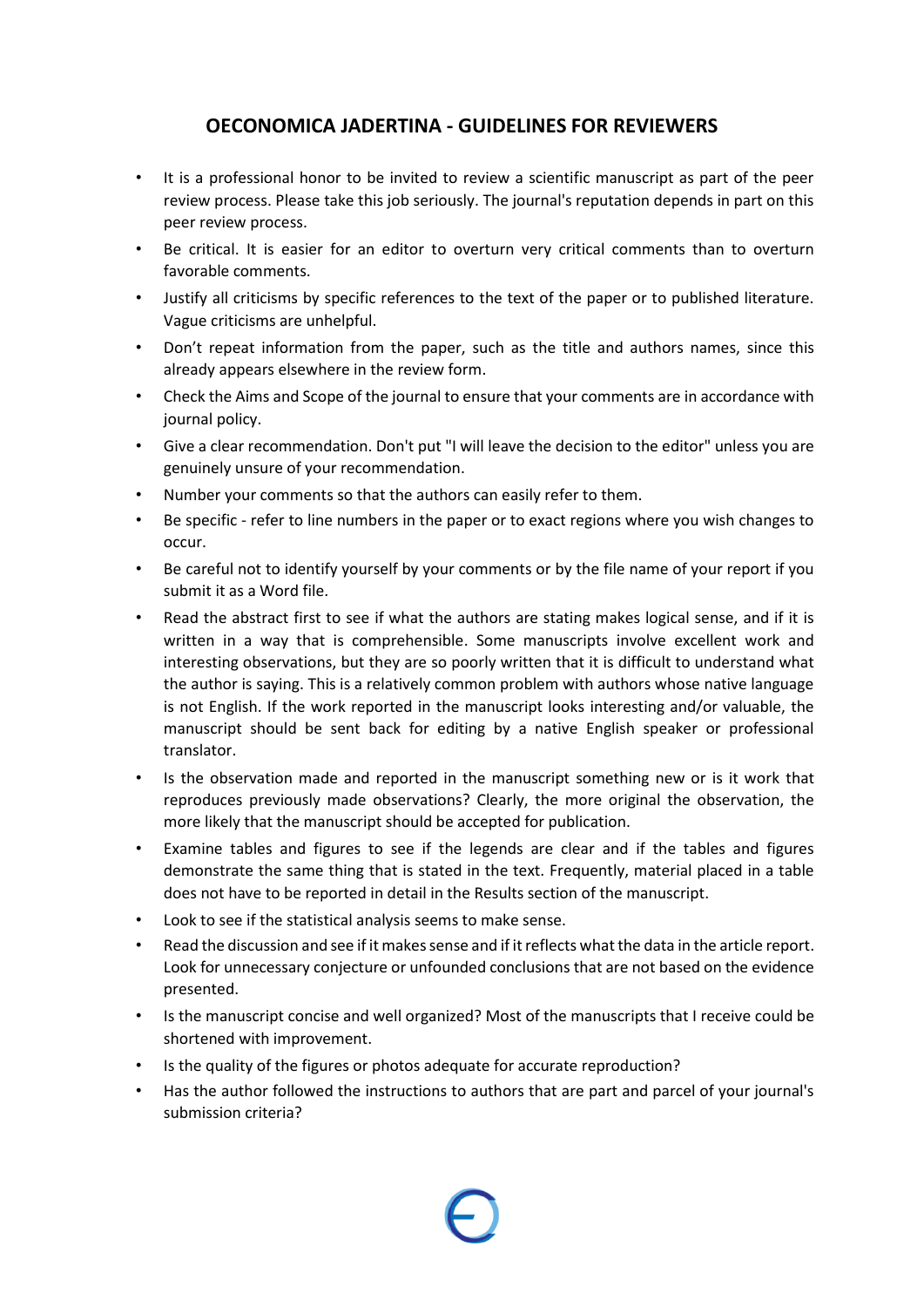## **OECONOMICA JADERTINA - GUIDELINES FOR REVIEWERS**

- It is a professional honor to be invited to review a scientific manuscript as part of the peer review process. Please take this job seriously. The journal's reputation depends in part on this peer review process.
- Be critical. It is easier for an editor to overturn very critical comments than to overturn favorable comments.
- Justify all criticisms by specific references to the text of the paper or to published literature. Vague criticisms are unhelpful.
- Don't repeat information from the paper, such as the title and authors names, since this already appears elsewhere in the review form.
- Check the Aims and Scope of the journal to ensure that your comments are in accordance with journal policy.
- Give a clear recommendation. Don't put "I will leave the decision to the editor" unless you are genuinely unsure of your recommendation.
- Number your comments so that the authors can easily refer to them.
- Be specific refer to line numbers in the paper or to exact regions where you wish changes to occur.
- Be careful not to identify yourself by your comments or by the file name of your report if you submit it as a Word file.
- Read the abstract first to see if what the authors are stating makes logical sense, and if it is written in a way that is comprehensible. Some manuscripts involve excellent work and interesting observations, but they are so poorly written that it is difficult to understand what the author is saying. This is a relatively common problem with authors whose native language is not English. If the work reported in the manuscript looks interesting and/or valuable, the manuscript should be sent back for editing by a native English speaker or professional translator.
- Is the observation made and reported in the manuscript something new or is it work that reproduces previously made observations? Clearly, the more original the observation, the more likely that the manuscript should be accepted for publication.
- Examine tables and figures to see if the legends are clear and if the tables and figures demonstrate the same thing that is stated in the text. Frequently, material placed in a table does not have to be reported in detail in the Results section of the manuscript.
- Look to see if the statistical analysis seems to make sense.
- Read the discussion and see if it makes sense and if it reflects what the data in the article report. Look for unnecessary conjecture or unfounded conclusions that are not based on the evidence presented.
- Is the manuscript concise and well organized? Most of the manuscripts that I receive could be shortened with improvement.
- Is the quality of the figures or photos adequate for accurate reproduction?
- Has the author followed the instructions to authors that are part and parcel of your journal's submission criteria?